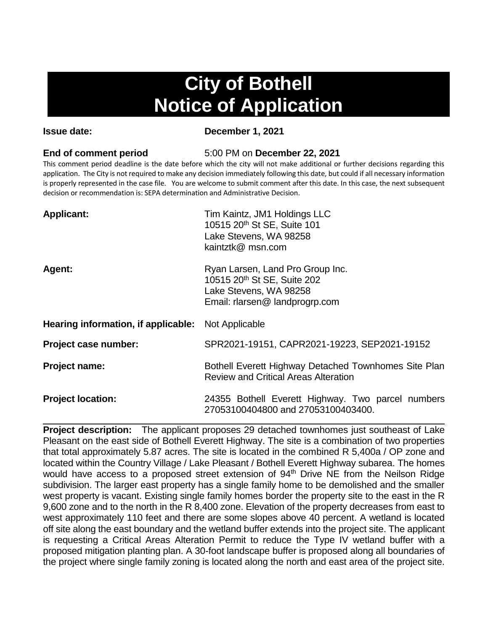# **City of Bothell Notice of Application**

**Issue date: December 1, 2021**

**End of comment period** 5:00 PM on **December 22, 2021**

This comment period deadline is the date before which the city will not make additional or further decisions regarding this application. The City is not required to make any decision immediately following this date, but could if all necessary information is properly represented in the case file. You are welcome to submit comment after this date. In this case, the next subsequent decision or recommendation is: SEPA determination and Administrative Decision.

| <b>Applicant:</b>                   | Tim Kaintz, JM1 Holdings LLC<br>10515 20 <sup>th</sup> St SE, Suite 101<br>Lake Stevens, WA 98258<br>kaintztk@ msn.com      |
|-------------------------------------|-----------------------------------------------------------------------------------------------------------------------------|
| Agent:                              | Ryan Larsen, Land Pro Group Inc.<br>10515 20th St SE, Suite 202<br>Lake Stevens, WA 98258<br>Email: rlarsen@ landprogrp.com |
| Hearing information, if applicable: | Not Applicable                                                                                                              |
| Project case number:                | SPR2021-19151, CAPR2021-19223, SEP2021-19152                                                                                |
| Project name:                       | Bothell Everett Highway Detached Townhomes Site Plan<br><b>Review and Critical Areas Alteration</b>                         |
| <b>Project location:</b>            | 24355 Bothell Everett Highway. Two parcel numbers<br>27053100404800 and 27053100403400.                                     |

**Project description:** The applicant proposes 29 detached townhomes just southeast of Lake Pleasant on the east side of Bothell Everett Highway. The site is a combination of two properties that total approximately 5.87 acres. The site is located in the combined R 5,400a / OP zone and located within the Country Village / Lake Pleasant / Bothell Everett Highway subarea. The homes would have access to a proposed street extension of 94<sup>th</sup> Drive NE from the Neilson Ridge subdivision. The larger east property has a single family home to be demolished and the smaller west property is vacant. Existing single family homes border the property site to the east in the R 9,600 zone and to the north in the R 8,400 zone. Elevation of the property decreases from east to west approximately 110 feet and there are some slopes above 40 percent. A wetland is located off site along the east boundary and the wetland buffer extends into the project site. The applicant is requesting a Critical Areas Alteration Permit to reduce the Type IV wetland buffer with a proposed mitigation planting plan. A 30-foot landscape buffer is proposed along all boundaries of the project where single family zoning is located along the north and east area of the project site.